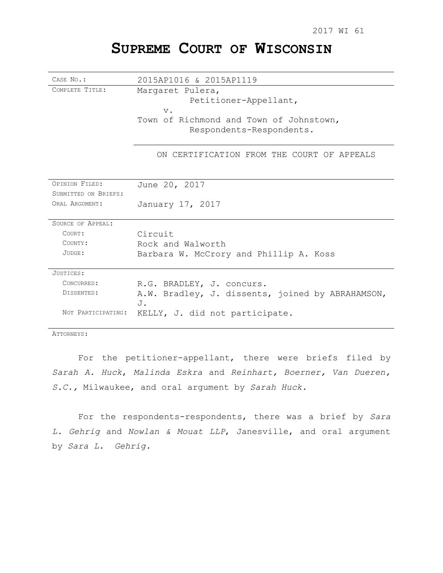# **SUPREME COURT OF WISCONSIN**

| CASE No.:                              | 2015AP1016 & 2015AP1119                                             |
|----------------------------------------|---------------------------------------------------------------------|
| COMPLETE TITLE:                        | Margaret Pulera,<br>Petitioner-Appellant,<br>$V$ .                  |
|                                        | Town of Richmond and Town of Johnstown,<br>Respondents-Respondents. |
|                                        | ON CERTIFICATION FROM THE COURT OF APPEALS                          |
| OPINION FILED:                         | June 20, 2017                                                       |
| SUBMITTED ON BRIEFS:<br>ORAL ARGUMENT: | January 17, 2017                                                    |
| SOURCE OF APPEAL:                      |                                                                     |
| COURT:                                 | Circuit                                                             |
| COUNTY:                                | Rock and Walworth                                                   |
| JUDGE:                                 | Barbara W. McCrory and Phillip A. Koss                              |
| JUSTICES:                              |                                                                     |
| CONCURRED:                             | R.G. BRADLEY, J. concurs.                                           |
| DISSENTED:                             | A.W. Bradley, J. dissents, joined by ABRAHAMSON,<br>J.              |
| NOT PARTICIPATING:                     | KELLY, J. did not participate.                                      |

ATTORNEYS:

For the petitioner-appellant, there were briefs filed by *Sarah A. Huck*, *Malinda Eskra* and *Reinhart, Boerner, Van Dueren, S.C.,* Milwaukee, and oral argument by *Sarah Huck*.

For the respondents-respondents, there was a brief by *Sara L. Gehrig* and *Nowlan & Mouat LLP*, Janesville, and oral argument by *Sara L. Gehrig.*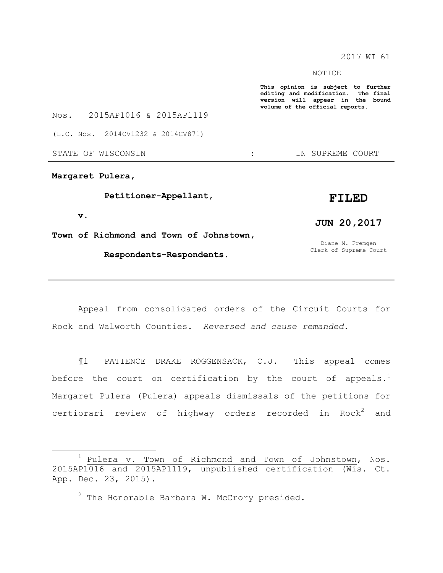2017 WI 61

NOTICE

**This opinion is subject to further editing and modification. The final version will appear in the bound volume of the official reports.**  Nos. 2015AP1016 & 2015AP1119 (L.C. Nos. 2014CV1232 & 2014CV871) STATE OF WISCONSIN THE STATE OF STATE OF WISCONSIN

**Margaret Pulera,**

 **Petitioner-Appellant,**

# **FILED**

 **v.**

 $\overline{a}$ 

**Town of Richmond and Town of Johnstown,**

 **Respondents-Respondents.**

# **JUN 20,2017**

Diane M. Fremgen Clerk of Supreme Court

Appeal from consolidated orders of the Circuit Courts for Rock and Walworth Counties. *Reversed and cause remanded.* 

¶1 PATIENCE DRAKE ROGGENSACK, C.J. This appeal comes before the court on certification by the court of appeals.<sup>1</sup> Margaret Pulera (Pulera) appeals dismissals of the petitions for certiorari review of highway orders recorded in Rock<sup>2</sup> and

 $1$  Pulera v. Town of Richmond and Town of Johnstown, Nos. 2015AP1016 and 2015AP1119, unpublished certification (Wis. Ct. App. Dec. 23, 2015).

 $2$  The Honorable Barbara W. McCrory presided.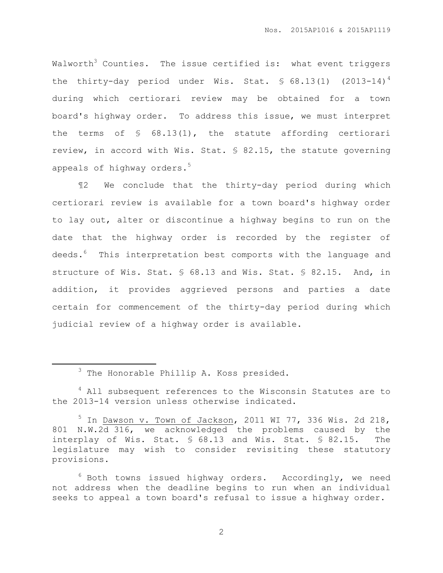Walworth<sup>3</sup> Counties. The issue certified is: what event triggers the thirty-day period under Wis. Stat.  $\frac{1}{2}$  68.13(1) (2013-14)<sup>4</sup> during which certiorari review may be obtained for a town board's highway order. To address this issue, we must interpret the terms of § 68.13(1), the statute affording certiorari review, in accord with Wis. Stat. § 82.15, the statute governing appeals of highway orders. $5$ 

¶2 We conclude that the thirty-day period during which certiorari review is available for a town board's highway order to lay out, alter or discontinue a highway begins to run on the date that the highway order is recorded by the register of deeds.<sup>6</sup> This interpretation best comports with the language and structure of Wis. Stat. § 68.13 and Wis. Stat. § 82.15. And, in addition, it provides aggrieved persons and parties a date certain for commencement of the thirty-day period during which judicial review of a highway order is available.

 $\overline{a}$ 

 $6$  Both towns issued highway orders. Accordingly, we need not address when the deadline begins to run when an individual seeks to appeal a town board's refusal to issue a highway order.

 $3$  The Honorable Phillip A. Koss presided.

<sup>&</sup>lt;sup>4</sup> All subsequent references to the Wisconsin Statutes are to the 2013-14 version unless otherwise indicated.

 $^5$  In Dawson v. Town of Jackson, 2011 WI 77, 336 Wis. 2d 218, 801 N.W.2d 316, we acknowledged the problems caused by the interplay of Wis. Stat. § 68.13 and Wis. Stat. § 82.15. The legislature may wish to consider revisiting these statutory provisions.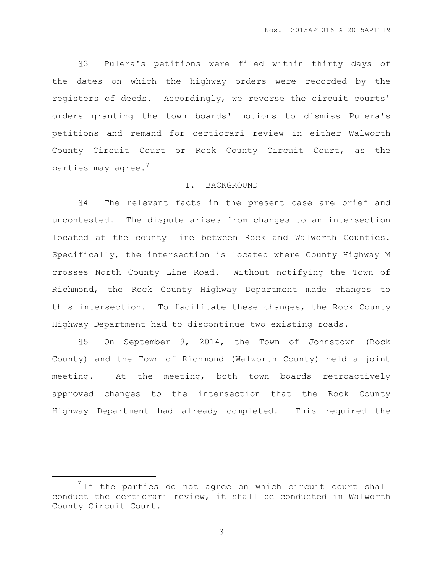¶3 Pulera's petitions were filed within thirty days of the dates on which the highway orders were recorded by the registers of deeds. Accordingly, we reverse the circuit courts' orders granting the town boards' motions to dismiss Pulera's petitions and remand for certiorari review in either Walworth County Circuit Court or Rock County Circuit Court, as the parties may agree. $7$ 

### I. BACKGROUND

¶4 The relevant facts in the present case are brief and uncontested. The dispute arises from changes to an intersection located at the county line between Rock and Walworth Counties. Specifically, the intersection is located where County Highway M crosses North County Line Road. Without notifying the Town of Richmond, the Rock County Highway Department made changes to this intersection. To facilitate these changes, the Rock County Highway Department had to discontinue two existing roads.

¶5 On September 9, 2014, the Town of Johnstown (Rock County) and the Town of Richmond (Walworth County) held a joint meeting. At the meeting, both town boards retroactively approved changes to the intersection that the Rock County Highway Department had already completed. This required the

 $\overline{a}$ 

 $^7$ If the parties do not agree on which circuit court shall conduct the certiorari review, it shall be conducted in Walworth County Circuit Court.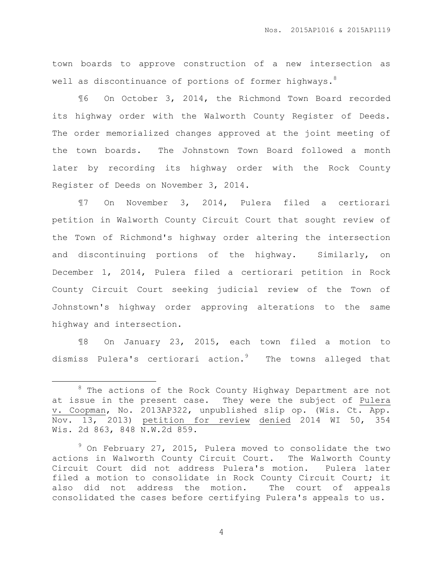town boards to approve construction of a new intersection as well as discontinuance of portions of former highways.<sup>8</sup>

¶6 On October 3, 2014, the Richmond Town Board recorded its highway order with the Walworth County Register of Deeds. The order memorialized changes approved at the joint meeting of the town boards. The Johnstown Town Board followed a month later by recording its highway order with the Rock County Register of Deeds on November 3, 2014.

¶7 On November 3, 2014, Pulera filed a certiorari petition in Walworth County Circuit Court that sought review of the Town of Richmond's highway order altering the intersection and discontinuing portions of the highway. Similarly, on December 1, 2014, Pulera filed a certiorari petition in Rock County Circuit Court seeking judicial review of the Town of Johnstown's highway order approving alterations to the same highway and intersection.

¶8 On January 23, 2015, each town filed a motion to dismiss Pulera's certiorari action. $9$  The towns alleged that

 $\overline{a}$ 

 $8$  The actions of the Rock County Highway Department are not at issue in the present case. They were the subject of Pulera v. Coopman, No. 2013AP322, unpublished slip op. (Wis. Ct. App. Nov. 13, 2013) petition for review denied 2014 WI 50, 354 Wis. 2d 863, 848 N.W.2d 859.

 $9$  On February 27, 2015, Pulera moved to consolidate the two actions in Walworth County Circuit Court. The Walworth County Circuit Court did not address Pulera's motion. Pulera later filed a motion to consolidate in Rock County Circuit Court; it also did not address the motion. The court of appeals consolidated the cases before certifying Pulera's appeals to us.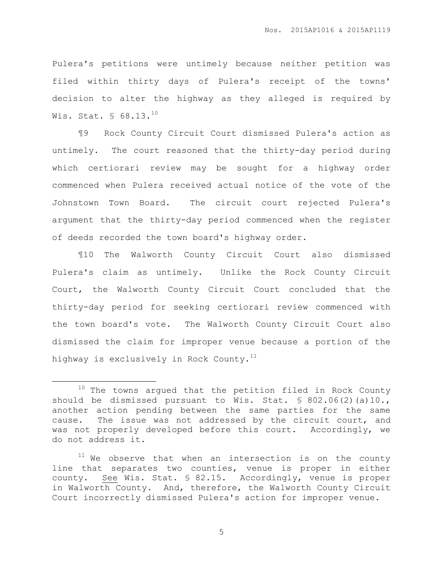Pulera's petitions were untimely because neither petition was filed within thirty days of Pulera's receipt of the towns' decision to alter the highway as they alleged is required by Wis. Stat. § 68.13.<sup>10</sup>

¶9 Rock County Circuit Court dismissed Pulera's action as untimely. The court reasoned that the thirty-day period during which certiorari review may be sought for a highway order commenced when Pulera received actual notice of the vote of the Johnstown Town Board. The circuit court rejected Pulera's argument that the thirty-day period commenced when the register of deeds recorded the town board's highway order.

¶10 The Walworth County Circuit Court also dismissed Pulera's claim as untimely. Unlike the Rock County Circuit Court, the Walworth County Circuit Court concluded that the thirty-day period for seeking certiorari review commenced with the town board's vote. The Walworth County Circuit Court also dismissed the claim for improper venue because a portion of the highway is exclusively in Rock County.<sup>11</sup>

 $\overline{a}$ 

 $10$  The towns arqued that the petition filed in Rock County should be dismissed pursuant to Wis. Stat. § 802.06(2)(a)10., another action pending between the same parties for the same cause. The issue was not addressed by the circuit court, and was not properly developed before this court. Accordingly, we do not address it.

 $11$  We observe that when an intersection is on the county line that separates two counties, venue is proper in either county. See Wis. Stat. § 82.15. Accordingly, venue is proper in Walworth County. And, therefore, the Walworth County Circuit Court incorrectly dismissed Pulera's action for improper venue.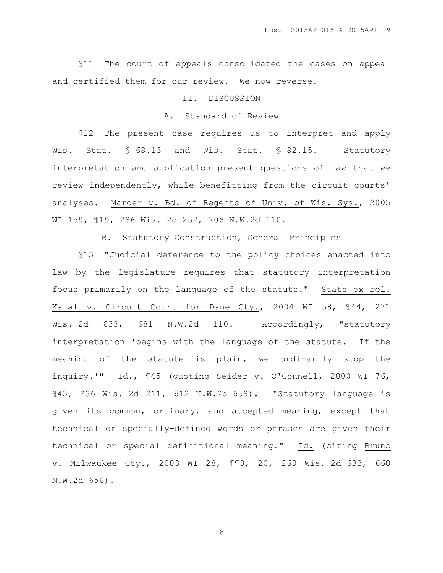¶11 The court of appeals consolidated the cases on appeal and certified them for our review. We now reverse.

#### II. DISCUSSION

# A. Standard of Review

¶12 The present case requires us to interpret and apply Wis. Stat. § 68.13 and Wis. Stat. § 82.15. Statutory interpretation and application present questions of law that we review independently, while benefitting from the circuit courts' analyses. Marder v. Bd. of Regents of Univ. of Wis. Sys., 2005 WI 159, ¶19, 286 Wis. 2d 252, 706 N.W.2d 110.

B. Statutory Construction, General Principles

¶13 "Judicial deference to the policy choices enacted into law by the legislature requires that statutory interpretation focus primarily on the language of the statute." State ex rel. Kalal v. Circuit Court for Dane Cty., 2004 WI 58, ¶44, 271 Wis. 2d 633, 681 N.W.2d 110. Accordingly, "statutory interpretation 'begins with the language of the statute. If the meaning of the statute is plain, we ordinarily stop the inquiry.'" Id., ¶45 (quoting Seider v. O'Connell, 2000 WI 76, ¶43, 236 Wis. 2d 211, 612 N.W.2d 659). "Statutory language is given its common, ordinary, and accepted meaning, except that technical or specially-defined words or phrases are given their technical or special definitional meaning." Id. (citing Bruno v. Milwaukee Cty., 2003 WI 28, ¶¶8, 20, 260 Wis. 2d 633, 660 N.W.2d 656).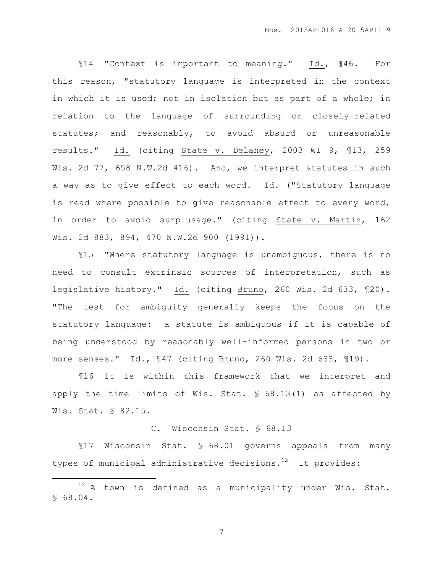¶14 "Context is important to meaning." Id., ¶46. For this reason, "statutory language is interpreted in the context in which it is used; not in isolation but as part of a whole; in relation to the language of surrounding or closely-related statutes; and reasonably, to avoid absurd or unreasonable results." Id. (citing State v. Delaney, 2003 WI 9, ¶13, 259 Wis. 2d 77, 658 N.W.2d 416). And, we interpret statutes in such a way as to give effect to each word. Id. ("Statutory language is read where possible to give reasonable effect to every word, in order to avoid surplusage." (citing State v. Martin, 162 Wis. 2d 883, 894, 470 N.W.2d 900 (1991)).

¶15 "Where statutory language is unambiguous, there is no need to consult extrinsic sources of interpretation, such as legislative history." Id. (citing Bruno, 260 Wis. 2d 633, ¶20). "The test for ambiguity generally keeps the focus on the statutory language: a statute is ambiguous if it is capable of being understood by reasonably well-informed persons in two or more senses." Id., ¶47 (citing Bruno, 260 Wis. 2d 633, ¶19).

¶16 It is within this framework that we interpret and apply the time limits of Wis. Stat. § 68.13(1) as affected by Wis. Stat. § 82.15.

# C. Wisconsin Stat. § 68.13

¶17 Wisconsin Stat. § 68.01 governs appeals from many types of municipal administrative decisions.<sup>12</sup> It provides:

 $\overline{a}$ 

 $12$  A town is defined as a municipality under Wis. Stat. § 68.04.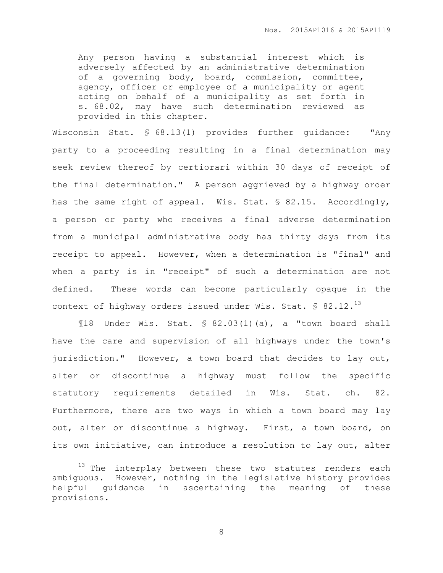Any person having a substantial interest which is adversely affected by an administrative determination of a governing body, board, commission, committee, agency, officer or employee of a municipality or agent acting on behalf of a municipality as set forth in s. 68.02, may have such determination reviewed as provided in this chapter.

Wisconsin Stat. § 68.13(1) provides further guidance: "Any party to a proceeding resulting in a final determination may seek review thereof by certiorari within 30 days of receipt of the final determination." A person aggrieved by a highway order has the same right of appeal. Wis. Stat. § 82.15. Accordingly, a person or party who receives a final adverse determination from a municipal administrative body has thirty days from its receipt to appeal. However, when a determination is "final" and when a party is in "receipt" of such a determination are not defined. These words can become particularly opaque in the context of highway orders issued under Wis. Stat.  $$82.12.^{13}$ 

¶18 Under Wis. Stat. § 82.03(1)(a), a "town board shall have the care and supervision of all highways under the town's jurisdiction." However, a town board that decides to lay out, alter or discontinue a highway must follow the specific statutory requirements detailed in Wis. Stat. ch. 82. Furthermore, there are two ways in which a town board may lay out, alter or discontinue a highway. First, a town board, on its own initiative, can introduce a resolution to lay out, alter

 $\overline{a}$ 

 $13$  The interplay between these two statutes renders each ambiguous. However, nothing in the legislative history provides helpful guidance in ascertaining the meaning of these provisions.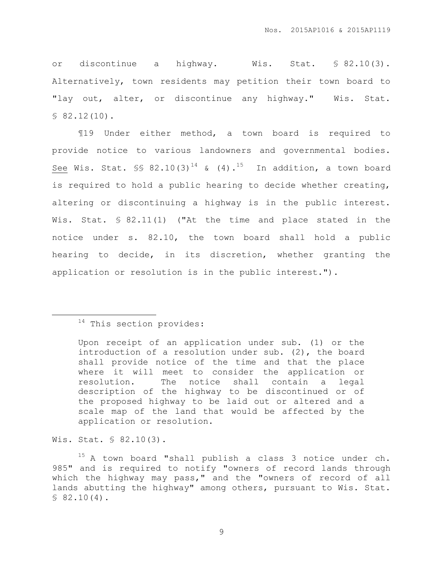or discontinue a highway. Wis. Stat. § 82.10(3). Alternatively, town residents may petition their town board to "lay out, alter, or discontinue any highway." Wis. Stat. § 82.12(10).

¶19 Under either method, a town board is required to provide notice to various landowners and governmental bodies. See Wis. Stat.  $SS 82.10(3)^{14}$  & (4).<sup>15</sup> In addition, a town board is required to hold a public hearing to decide whether creating, altering or discontinuing a highway is in the public interest. Wis. Stat. § 82.11(1) ("At the time and place stated in the notice under s. 82.10, the town board shall hold a public hearing to decide, in its discretion, whether granting the application or resolution is in the public interest.").

Wis. Stat. § 82.10(3).

 $\overline{a}$ 

<sup>15</sup> A town board "shall publish a class 3 notice under ch. 985" and is required to notify "owners of record lands through which the highway may pass," and the "owners of record of all lands abutting the highway" among others, pursuant to Wis. Stat.  $$82.10(4).$ 

<sup>&</sup>lt;sup>14</sup> This section provides:

Upon receipt of an application under sub. (1) or the introduction of a resolution under sub. (2), the board shall provide notice of the time and that the place where it will meet to consider the application or resolution. The notice shall contain a legal description of the highway to be discontinued or of the proposed highway to be laid out or altered and a scale map of the land that would be affected by the application or resolution.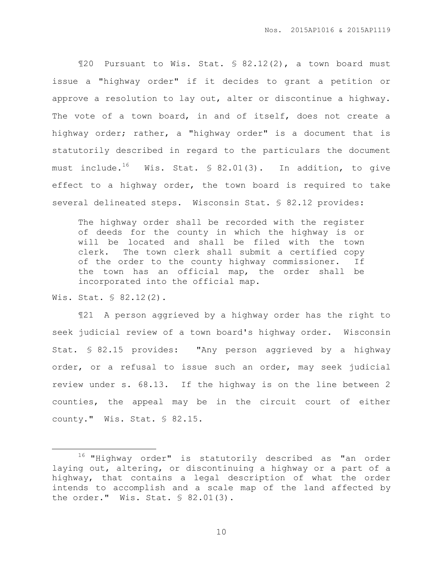¶20 Pursuant to Wis. Stat. § 82.12(2), a town board must issue a "highway order" if it decides to grant a petition or approve a resolution to lay out, alter or discontinue a highway. The vote of a town board, in and of itself, does not create a highway order; rather, a "highway order" is a document that is statutorily described in regard to the particulars the document must include.<sup>16</sup> Wis. Stat.  $\frac{1}{5}$  82.01(3). In addition, to give effect to a highway order, the town board is required to take several delineated steps. Wisconsin Stat. § 82.12 provides:

The highway order shall be recorded with the register of deeds for the county in which the highway is or will be located and shall be filed with the town clerk. The town clerk shall submit a certified copy of the order to the county highway commissioner. If the town has an official map, the order shall be incorporated into the official map.

Wis. Stat. § 82.12(2).

 $\overline{a}$ 

¶21 A person aggrieved by a highway order has the right to seek judicial review of a town board's highway order. Wisconsin Stat. § 82.15 provides: "Any person aggrieved by a highway order, or a refusal to issue such an order, may seek judicial review under s. 68.13. If the highway is on the line between 2 counties, the appeal may be in the circuit court of either county." Wis. Stat. § 82.15.

<sup>16</sup> "Highway order" is statutorily described as "an order laying out, altering, or discontinuing a highway or a part of a highway, that contains a legal description of what the order intends to accomplish and a scale map of the land affected by the order." Wis. Stat. § 82.01(3).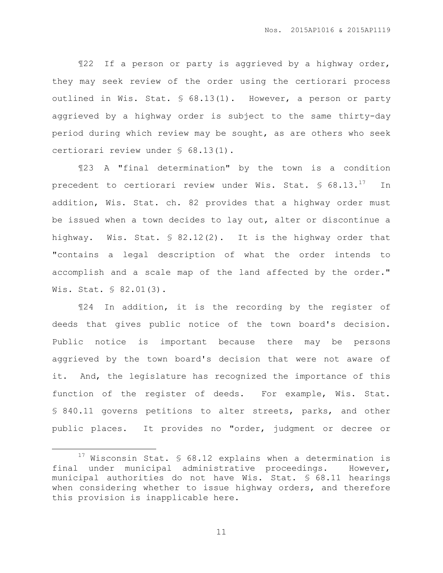¶22 If a person or party is aggrieved by a highway order, they may seek review of the order using the certiorari process outlined in Wis. Stat. § 68.13(1). However, a person or party aggrieved by a highway order is subject to the same thirty-day period during which review may be sought, as are others who seek certiorari review under § 68.13(1).

¶23 A "final determination" by the town is a condition precedent to certiorari review under Wis. Stat.  $\frac{1}{5}$  68.13.<sup>17</sup> In addition, Wis. Stat. ch. 82 provides that a highway order must be issued when a town decides to lay out, alter or discontinue a highway. Wis. Stat. § 82.12(2). It is the highway order that "contains a legal description of what the order intends to accomplish and a scale map of the land affected by the order." Wis. Stat. § 82.01(3).

¶24 In addition, it is the recording by the register of deeds that gives public notice of the town board's decision. Public notice is important because there may be persons aggrieved by the town board's decision that were not aware of it. And, the legislature has recognized the importance of this function of the register of deeds. For example, Wis. Stat. § 840.11 governs petitions to alter streets, parks, and other public places. It provides no "order, judgment or decree or

 $\overline{a}$ 

 $17$  Wisconsin Stat. § 68.12 explains when a determination is final under municipal administrative proceedings. However, municipal authorities do not have Wis. Stat. § 68.11 hearings when considering whether to issue highway orders, and therefore this provision is inapplicable here.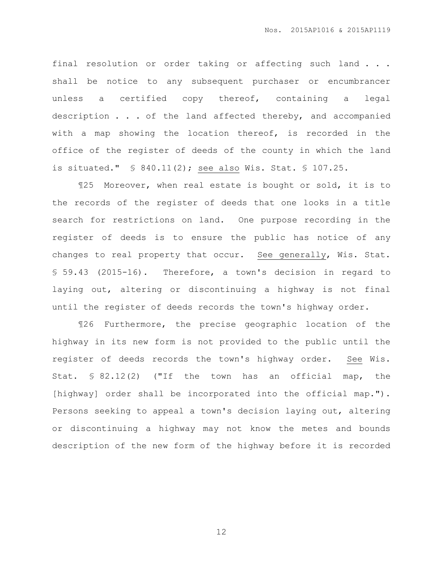final resolution or order taking or affecting such land . . . shall be notice to any subsequent purchaser or encumbrancer unless a certified copy thereof, containing a legal description . . . of the land affected thereby, and accompanied with a map showing the location thereof, is recorded in the office of the register of deeds of the county in which the land is situated." § 840.11(2); see also Wis. Stat. § 107.25.

¶25 Moreover, when real estate is bought or sold, it is to the records of the register of deeds that one looks in a title search for restrictions on land. One purpose recording in the register of deeds is to ensure the public has notice of any changes to real property that occur. See generally, Wis. Stat. § 59.43 (2015-16). Therefore, a town's decision in regard to laying out, altering or discontinuing a highway is not final until the register of deeds records the town's highway order.

¶26 Furthermore, the precise geographic location of the highway in its new form is not provided to the public until the register of deeds records the town's highway order. See Wis. Stat. § 82.12(2) ("If the town has an official map, the [highway] order shall be incorporated into the official map."). Persons seeking to appeal a town's decision laying out, altering or discontinuing a highway may not know the metes and bounds description of the new form of the highway before it is recorded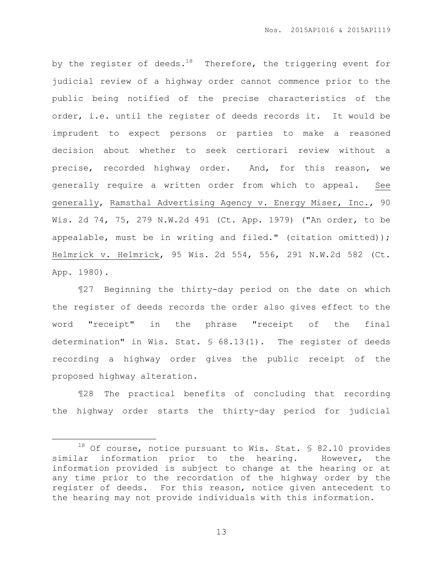by the register of deeds.<sup>18</sup> Therefore, the triggering event for judicial review of a highway order cannot commence prior to the public being notified of the precise characteristics of the order, i.e. until the register of deeds records it. It would be imprudent to expect persons or parties to make a reasoned decision about whether to seek certiorari review without a precise, recorded highway order. And, for this reason, we generally require a written order from which to appeal. See generally, Ramsthal Advertising Agency v. Energy Miser, Inc., 90 Wis. 2d 74, 75, 279 N.W.2d 491 (Ct. App. 1979) ("An order, to be appealable, must be in writing and filed." (citation omitted)); Helmrick v. Helmrick, 95 Wis. 2d 554, 556, 291 N.W.2d 582 (Ct. App. 1980).

¶27 Beginning the thirty-day period on the date on which the register of deeds records the order also gives effect to the word "receipt" in the phrase "receipt of the final determination" in Wis. Stat. § 68.13(1). The register of deeds recording a highway order gives the public receipt of the proposed highway alteration.

¶28 The practical benefits of concluding that recording the highway order starts the thirty-day period for judicial

 $\overline{a}$ 

 $18$  Of course, notice pursuant to Wis. Stat. § 82.10 provides similar information prior to the hearing. However, the information provided is subject to change at the hearing or at any time prior to the recordation of the highway order by the register of deeds. For this reason, notice given antecedent to the hearing may not provide individuals with this information.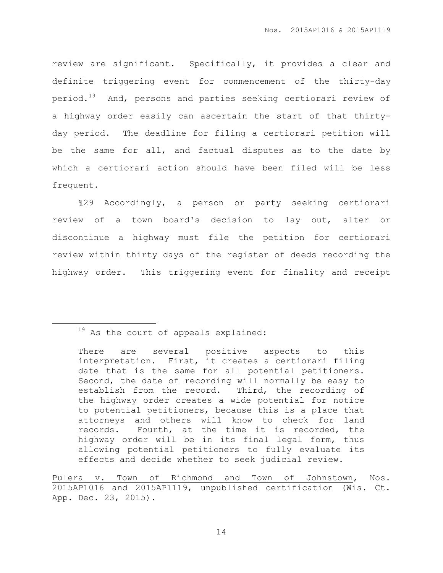review are significant. Specifically, it provides a clear and definite triggering event for commencement of the thirty-day period.<sup>19</sup> And, persons and parties seeking certiorari review of a highway order easily can ascertain the start of that thirtyday period. The deadline for filing a certiorari petition will be the same for all, and factual disputes as to the date by which a certiorari action should have been filed will be less frequent.

¶29 Accordingly, a person or party seeking certiorari review of a town board's decision to lay out, alter or discontinue a highway must file the petition for certiorari review within thirty days of the register of deeds recording the highway order. This triggering event for finality and receipt

 $\overline{a}$ 

<sup>&</sup>lt;sup>19</sup> As the court of appeals explained:

There are several positive aspects to this interpretation. First, it creates a certiorari filing date that is the same for all potential petitioners. Second, the date of recording will normally be easy to establish from the record. Third, the recording of the highway order creates a wide potential for notice to potential petitioners, because this is a place that attorneys and others will know to check for land records. Fourth, at the time it is recorded, the highway order will be in its final legal form, thus allowing potential petitioners to fully evaluate its effects and decide whether to seek judicial review.

Pulera v. Town of Richmond and Town of Johnstown, Nos. 2015AP1016 and 2015AP1119, unpublished certification (Wis. Ct. App. Dec. 23, 2015).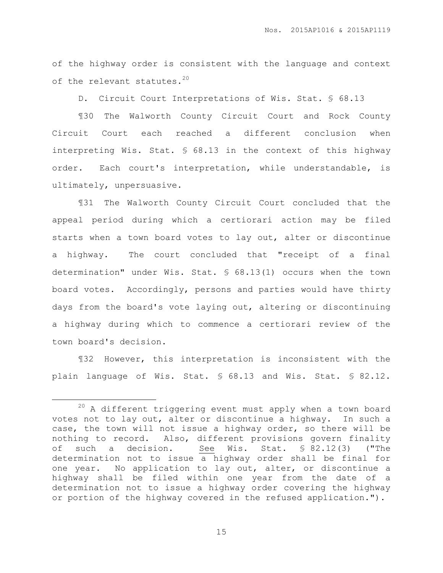of the highway order is consistent with the language and context of the relevant statutes.<sup>20</sup>

D. Circuit Court Interpretations of Wis. Stat. § 68.13

¶30 The Walworth County Circuit Court and Rock County Circuit Court each reached a different conclusion when interpreting Wis. Stat. § 68.13 in the context of this highway order. Each court's interpretation, while understandable, is ultimately, unpersuasive.

¶31 The Walworth County Circuit Court concluded that the appeal period during which a certiorari action may be filed starts when a town board votes to lay out, alter or discontinue a highway. The court concluded that "receipt of a final determination" under Wis. Stat. § 68.13(1) occurs when the town board votes. Accordingly, persons and parties would have thirty days from the board's vote laying out, altering or discontinuing a highway during which to commence a certiorari review of the town board's decision.

¶32 However, this interpretation is inconsistent with the plain language of Wis. Stat. § 68.13 and Wis. Stat. § 82.12.

 $\overline{a}$ 

 $20$  A different triggering event must apply when a town board votes not to lay out, alter or discontinue a highway. In such a case, the town will not issue a highway order, so there will be nothing to record. Also, different provisions govern finality of such a decision. See Wis. Stat. § 82.12(3) ("The determination not to issue a highway order shall be final for one year. No application to lay out, alter, or discontinue a highway shall be filed within one year from the date of a determination not to issue a highway order covering the highway or portion of the highway covered in the refused application.").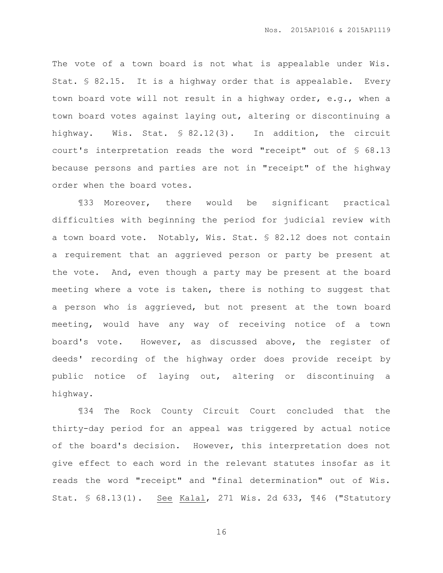The vote of a town board is not what is appealable under Wis. Stat. § 82.15. It is a highway order that is appealable. Every town board vote will not result in a highway order, e.g., when a town board votes against laying out, altering or discontinuing a highway. Wis. Stat. § 82.12(3). In addition, the circuit court's interpretation reads the word "receipt" out of § 68.13 because persons and parties are not in "receipt" of the highway order when the board votes.

¶33 Moreover, there would be significant practical difficulties with beginning the period for judicial review with a town board vote. Notably, Wis. Stat. § 82.12 does not contain a requirement that an aggrieved person or party be present at the vote. And, even though a party may be present at the board meeting where a vote is taken, there is nothing to suggest that a person who is aggrieved, but not present at the town board meeting, would have any way of receiving notice of a town board's vote. However, as discussed above, the register of deeds' recording of the highway order does provide receipt by public notice of laying out, altering or discontinuing a highway.

¶34 The Rock County Circuit Court concluded that the thirty-day period for an appeal was triggered by actual notice of the board's decision. However, this interpretation does not give effect to each word in the relevant statutes insofar as it reads the word "receipt" and "final determination" out of Wis. Stat. § 68.13(1). See Kalal, 271 Wis. 2d 633, ¶46 ("Statutory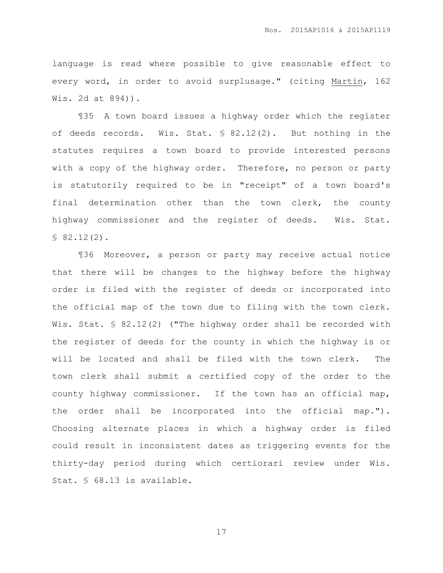language is read where possible to give reasonable effect to every word, in order to avoid surplusage." (citing Martin, 162 Wis. 2d at 894)).

¶35 A town board issues a highway order which the register of deeds records. Wis. Stat. § 82.12(2). But nothing in the statutes requires a town board to provide interested persons with a copy of the highway order. Therefore, no person or party is statutorily required to be in "receipt" of a town board's final determination other than the town clerk, the county highway commissioner and the register of deeds. Wis. Stat.  $$82.12(2)$ .

¶36 Moreover, a person or party may receive actual notice that there will be changes to the highway before the highway order is filed with the register of deeds or incorporated into the official map of the town due to filing with the town clerk. Wis. Stat. § 82.12(2) ("The highway order shall be recorded with the register of deeds for the county in which the highway is or will be located and shall be filed with the town clerk. The town clerk shall submit a certified copy of the order to the county highway commissioner. If the town has an official map, the order shall be incorporated into the official map."). Choosing alternate places in which a highway order is filed could result in inconsistent dates as triggering events for the thirty-day period during which certiorari review under Wis. Stat. § 68.13 is available.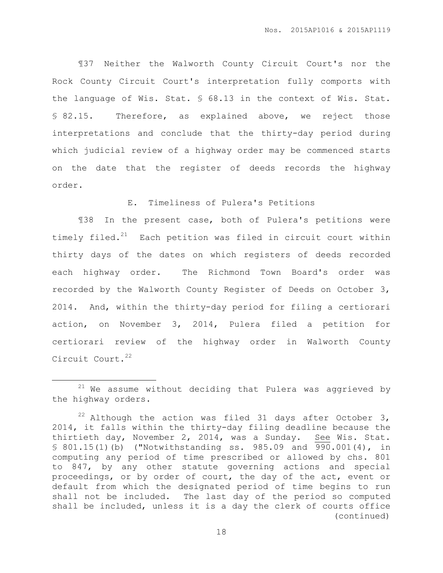¶37 Neither the Walworth County Circuit Court's nor the Rock County Circuit Court's interpretation fully comports with the language of Wis. Stat. § 68.13 in the context of Wis. Stat. § 82.15. Therefore, as explained above, we reject those interpretations and conclude that the thirty-day period during which judicial review of a highway order may be commenced starts on the date that the register of deeds records the highway order.

E. Timeliness of Pulera's Petitions

¶38 In the present case, both of Pulera's petitions were timely filed. $21$  Each petition was filed in circuit court within thirty days of the dates on which registers of deeds recorded each highway order. The Richmond Town Board's order was recorded by the Walworth County Register of Deeds on October 3, 2014. And, within the thirty-day period for filing a certiorari action, on November 3, 2014, Pulera filed a petition for certiorari review of the highway order in Walworth County Circuit Court.<sup>22</sup>

 $\overline{a}$ 

 $21$  We assume without deciding that Pulera was aggrieved by the highway orders.

 $22$  Although the action was filed 31 days after October 3, 2014, it falls within the thirty-day filing deadline because the thirtieth day, November 2, 2014, was a Sunday. See Wis. Stat. § 801.15(1)(b) ("Notwithstanding ss. 985.09 and 990.001(4), in computing any period of time prescribed or allowed by chs. 801 to 847, by any other statute governing actions and special proceedings, or by order of court, the day of the act, event or default from which the designated period of time begins to run shall not be included. The last day of the period so computed shall be included, unless it is a day the clerk of courts office (continued)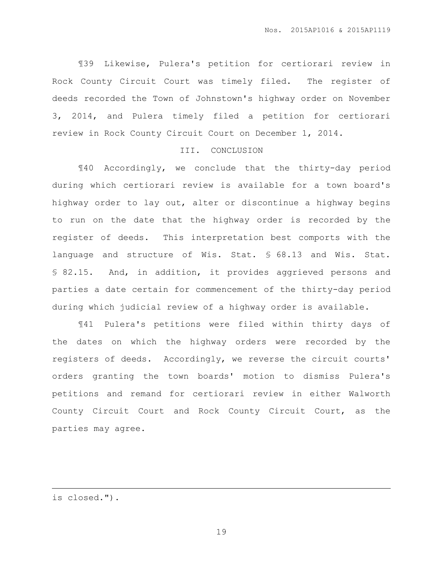¶39 Likewise, Pulera's petition for certiorari review in Rock County Circuit Court was timely filed. The register of deeds recorded the Town of Johnstown's highway order on November 3, 2014, and Pulera timely filed a petition for certiorari review in Rock County Circuit Court on December 1, 2014.

#### III. CONCLUSION

¶40 Accordingly, we conclude that the thirty-day period during which certiorari review is available for a town board's highway order to lay out, alter or discontinue a highway begins to run on the date that the highway order is recorded by the register of deeds. This interpretation best comports with the language and structure of Wis. Stat. § 68.13 and Wis. Stat. § 82.15. And, in addition, it provides aggrieved persons and parties a date certain for commencement of the thirty-day period during which judicial review of a highway order is available.

¶41 Pulera's petitions were filed within thirty days of the dates on which the highway orders were recorded by the registers of deeds. Accordingly, we reverse the circuit courts' orders granting the town boards' motion to dismiss Pulera's petitions and remand for certiorari review in either Walworth County Circuit Court and Rock County Circuit Court, as the parties may agree.

 $\overline{a}$ 

is closed.").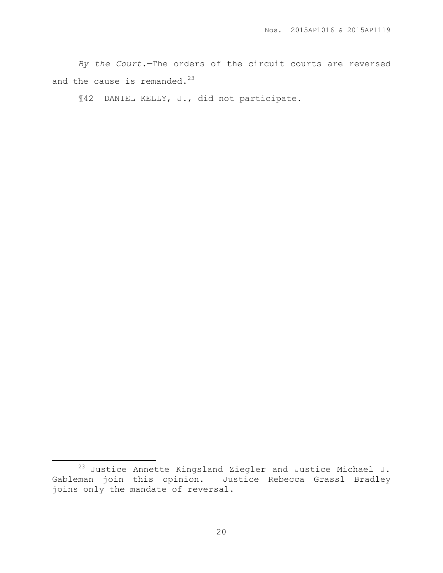*By the Court.*—The orders of the circuit courts are reversed and the cause is remanded. $^{23}$ 

¶42 DANIEL KELLY, J., did not participate.

 $\overline{a}$ 

 $^{23}$  Justice Annette Kingsland Ziegler and Justice Michael J. Gableman join this opinion. Justice Rebecca Grassl Bradley joins only the mandate of reversal.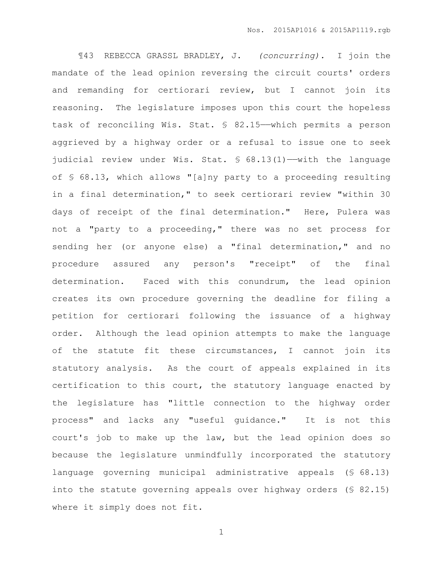¶43 REBECCA GRASSL BRADLEY, J. *(concurring).* I join the mandate of the lead opinion reversing the circuit courts' orders and remanding for certiorari review, but I cannot join its reasoning. The legislature imposes upon this court the hopeless task of reconciling Wis. Stat. § 82.15——which permits a person aggrieved by a highway order or a refusal to issue one to seek judicial review under Wis. Stat. § 68.13(1)-with the language of § 68.13, which allows "[a]ny party to a proceeding resulting in a final determination," to seek certiorari review "within 30 days of receipt of the final determination." Here, Pulera was not a "party to a proceeding," there was no set process for sending her (or anyone else) a "final determination," and no procedure assured any person's "receipt" of the final determination. Faced with this conundrum, the lead opinion creates its own procedure governing the deadline for filing a petition for certiorari following the issuance of a highway order. Although the lead opinion attempts to make the language of the statute fit these circumstances, I cannot join its statutory analysis. As the court of appeals explained in its certification to this court, the statutory language enacted by the legislature has "little connection to the highway order process" and lacks any "useful guidance." It is not this court's job to make up the law, but the lead opinion does so because the legislature unmindfully incorporated the statutory language governing municipal administrative appeals (§ 68.13) into the statute governing appeals over highway orders (§ 82.15) where it simply does not fit.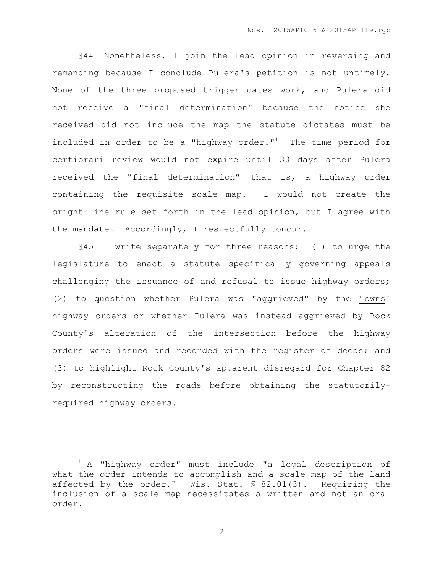¶44 Nonetheless, I join the lead opinion in reversing and remanding because I conclude Pulera's petition is not untimely. None of the three proposed trigger dates work, and Pulera did not receive a "final determination" because the notice she received did not include the map the statute dictates must be included in order to be a "highway order."<sup>1</sup> The time period for certiorari review would not expire until 30 days after Pulera received the "final determination"——that is, a highway order containing the requisite scale map. I would not create the bright-line rule set forth in the lead opinion, but I agree with the mandate. Accordingly, I respectfully concur.

¶45 I write separately for three reasons: (1) to urge the legislature to enact a statute specifically governing appeals challenging the issuance of and refusal to issue highway orders; (2) to question whether Pulera was "aggrieved" by the Towns' highway orders or whether Pulera was instead aggrieved by Rock County's alteration of the intersection before the highway orders were issued and recorded with the register of deeds; and (3) to highlight Rock County's apparent disregard for Chapter 82 by reconstructing the roads before obtaining the statutorilyrequired highway orders.

 $\overline{a}$ 

<sup>1</sup> A "highway order" must include "a legal description of what the order intends to accomplish and a scale map of the land affected by the order." Wis. Stat. § 82.01(3). Requiring the inclusion of a scale map necessitates a written and not an oral order.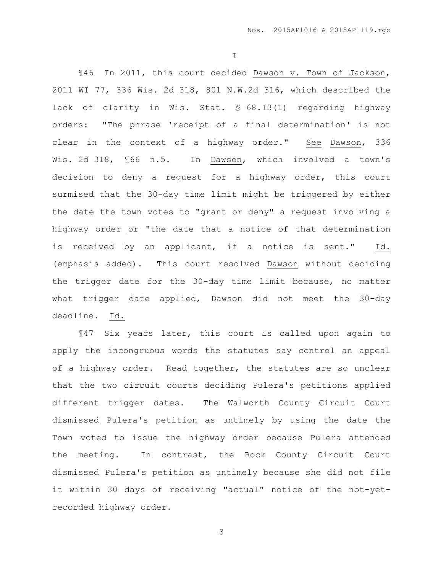I

¶46 In 2011, this court decided Dawson v. Town of Jackson, 2011 WI 77, 336 Wis. 2d 318, 801 N.W.2d 316, which described the lack of clarity in Wis. Stat. § 68.13(1) regarding highway orders: "The phrase 'receipt of a final determination' is not clear in the context of a highway order." See Dawson, 336 Wis. 2d 318, 166 n.5. In Dawson, which involved a town's decision to deny a request for a highway order, this court surmised that the 30-day time limit might be triggered by either the date the town votes to "grant or deny" a request involving a highway order or "the date that a notice of that determination is received by an applicant, if a notice is sent." Id. (emphasis added). This court resolved Dawson without deciding the trigger date for the 30-day time limit because, no matter what trigger date applied, Dawson did not meet the 30-day deadline. Id.

¶47 Six years later, this court is called upon again to apply the incongruous words the statutes say control an appeal of a highway order. Read together, the statutes are so unclear that the two circuit courts deciding Pulera's petitions applied different trigger dates. The Walworth County Circuit Court dismissed Pulera's petition as untimely by using the date the Town voted to issue the highway order because Pulera attended the meeting. In contrast, the Rock County Circuit Court dismissed Pulera's petition as untimely because she did not file it within 30 days of receiving "actual" notice of the not-yetrecorded highway order.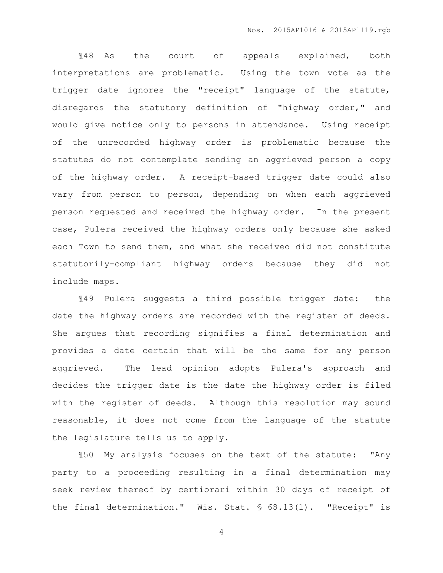¶48 As the court of appeals explained, both interpretations are problematic. Using the town vote as the trigger date ignores the "receipt" language of the statute, disregards the statutory definition of "highway order," and would give notice only to persons in attendance. Using receipt of the unrecorded highway order is problematic because the statutes do not contemplate sending an aggrieved person a copy of the highway order. A receipt-based trigger date could also vary from person to person, depending on when each aggrieved person requested and received the highway order. In the present case, Pulera received the highway orders only because she asked each Town to send them, and what she received did not constitute statutorily-compliant highway orders because they did not include maps.

¶49 Pulera suggests a third possible trigger date: the date the highway orders are recorded with the register of deeds. She argues that recording signifies a final determination and provides a date certain that will be the same for any person aggrieved. The lead opinion adopts Pulera's approach and decides the trigger date is the date the highway order is filed with the register of deeds. Although this resolution may sound reasonable, it does not come from the language of the statute the legislature tells us to apply.

¶50 My analysis focuses on the text of the statute: "Any party to a proceeding resulting in a final determination may seek review thereof by certiorari within 30 days of receipt of the final determination." Wis. Stat. § 68.13(1). "Receipt" is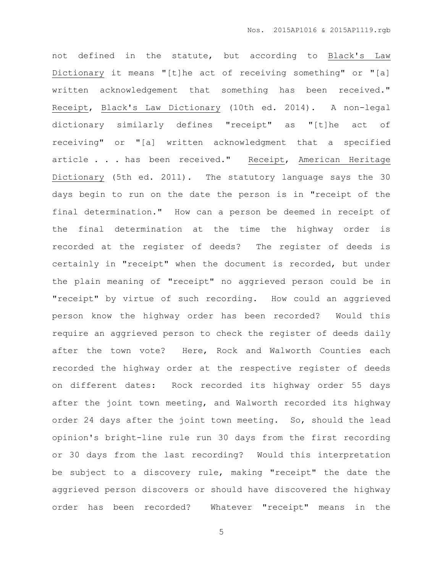not defined in the statute, but according to Black's Law Dictionary it means "[t]he act of receiving something" or "[a] written acknowledgement that something has been received." Receipt, Black's Law Dictionary (10th ed. 2014). A non-legal dictionary similarly defines "receipt" as "[t]he act of receiving" or "[a] written acknowledgment that a specified article . . . has been received." Receipt, American Heritage Dictionary (5th ed. 2011). The statutory language says the 30 days begin to run on the date the person is in "receipt of the final determination." How can a person be deemed in receipt of the final determination at the time the highway order is recorded at the register of deeds? The register of deeds is certainly in "receipt" when the document is recorded, but under the plain meaning of "receipt" no aggrieved person could be in "receipt" by virtue of such recording. How could an aggrieved person know the highway order has been recorded? Would this require an aggrieved person to check the register of deeds daily after the town vote? Here, Rock and Walworth Counties each recorded the highway order at the respective register of deeds on different dates: Rock recorded its highway order 55 days after the joint town meeting, and Walworth recorded its highway order 24 days after the joint town meeting. So, should the lead opinion's bright-line rule run 30 days from the first recording or 30 days from the last recording? Would this interpretation be subject to a discovery rule, making "receipt" the date the aggrieved person discovers or should have discovered the highway order has been recorded? Whatever "receipt" means in the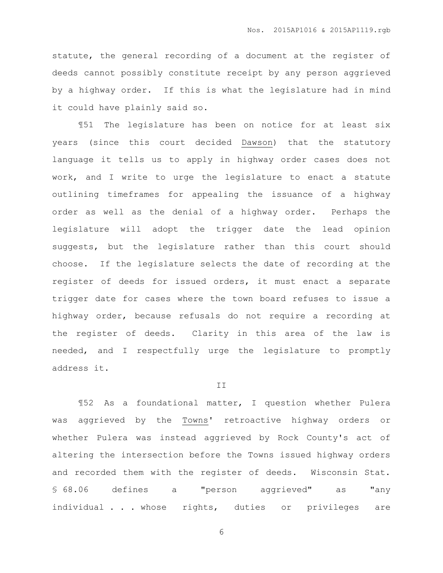statute, the general recording of a document at the register of deeds cannot possibly constitute receipt by any person aggrieved by a highway order. If this is what the legislature had in mind it could have plainly said so.

¶51 The legislature has been on notice for at least six years (since this court decided Dawson) that the statutory language it tells us to apply in highway order cases does not work, and I write to urge the legislature to enact a statute outlining timeframes for appealing the issuance of a highway order as well as the denial of a highway order. Perhaps the legislature will adopt the trigger date the lead opinion suggests, but the legislature rather than this court should choose. If the legislature selects the date of recording at the register of deeds for issued orders, it must enact a separate trigger date for cases where the town board refuses to issue a highway order, because refusals do not require a recording at the register of deeds. Clarity in this area of the law is needed, and I respectfully urge the legislature to promptly address it.

#### II

¶52 As a foundational matter, I question whether Pulera was aggrieved by the Towns' retroactive highway orders or whether Pulera was instead aggrieved by Rock County's act of altering the intersection before the Towns issued highway orders and recorded them with the register of deeds. Wisconsin Stat. § 68.06 defines a "person aggrieved" as "any individual . . . whose rights, duties or privileges are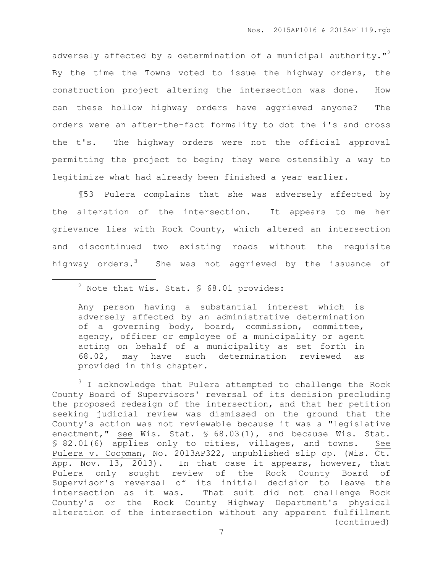adversely affected by a determination of a municipal authority."<sup>2</sup> By the time the Towns voted to issue the highway orders, the construction project altering the intersection was done. How can these hollow highway orders have aggrieved anyone? The orders were an after-the-fact formality to dot the i's and cross the t's. The highway orders were not the official approval permitting the project to begin; they were ostensibly a way to legitimize what had already been finished a year earlier.

¶53 Pulera complains that she was adversely affected by the alteration of the intersection. It appears to me her grievance lies with Rock County, which altered an intersection and discontinued two existing roads without the requisite highway orders. $3$  She was not aggrieved by the issuance of

 $\overline{a}$ 

 $2^2$  Note that Wis. Stat. § 68.01 provides:

Any person having a substantial interest which is adversely affected by an administrative determination of a governing body, board, commission, committee, agency, officer or employee of a municipality or agent acting on behalf of a municipality as set forth in 68.02, may have such determination reviewed as provided in this chapter.

<sup>&</sup>lt;sup>3</sup> I acknowledge that Pulera attempted to challenge the Rock County Board of Supervisors' reversal of its decision precluding the proposed redesign of the intersection, and that her petition seeking judicial review was dismissed on the ground that the County's action was not reviewable because it was a "legislative enactment," see Wis. Stat. § 68.03(1), and because Wis. Stat. § 82.01(6) applies only to cities, villages, and towns. See Pulera v. Coopman, No. 2013AP322, unpublished slip op. (Wis. Ct. App. Nov. 13, 2013). In that case it appears, however, that Pulera only sought review of the Rock County Board of Supervisor's reversal of its initial decision to leave the intersection as it was. That suit did not challenge Rock County's or the Rock County Highway Department's physical alteration of the intersection without any apparent fulfillment (continued)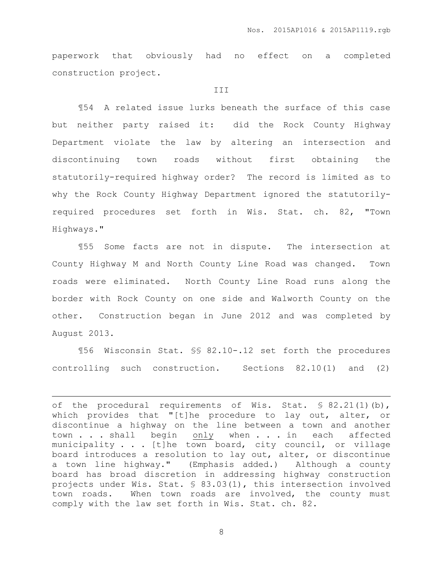paperwork that obviously had no effect on a completed construction project.

## **III**

¶54 A related issue lurks beneath the surface of this case but neither party raised it: did the Rock County Highway Department violate the law by altering an intersection and discontinuing town roads without first obtaining the statutorily-required highway order? The record is limited as to why the Rock County Highway Department ignored the statutorilyrequired procedures set forth in Wis. Stat. ch. 82, "Town Highways."

¶55 Some facts are not in dispute. The intersection at County Highway M and North County Line Road was changed. Town roads were eliminated. North County Line Road runs along the border with Rock County on one side and Walworth County on the other. Construction began in June 2012 and was completed by August 2013.

¶56 Wisconsin Stat. §§ 82.10-.12 set forth the procedures controlling such construction. Sections 82.10(1) and (2)

 $\overline{a}$ 

of the procedural requirements of Wis. Stat. § 82.21(1)(b), which provides that "[t]he procedure to lay out, alter, or discontinue a highway on the line between a town and another town . . . shall begin only when . . . in each affected municipality . . . [t]he town board, city council, or village board introduces a resolution to lay out, alter, or discontinue a town line highway." (Emphasis added.) Although a county board has broad discretion in addressing highway construction projects under Wis. Stat. § 83.03(1), this intersection involved town roads. When town roads are involved, the county must comply with the law set forth in Wis. Stat. ch. 82.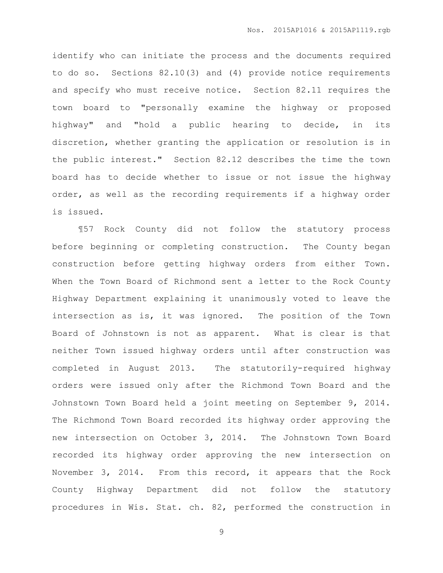identify who can initiate the process and the documents required to do so. Sections 82.10(3) and (4) provide notice requirements and specify who must receive notice. Section 82.11 requires the town board to "personally examine the highway or proposed highway" and "hold a public hearing to decide, in its discretion, whether granting the application or resolution is in the public interest." Section 82.12 describes the time the town board has to decide whether to issue or not issue the highway order, as well as the recording requirements if a highway order is issued.

¶57 Rock County did not follow the statutory process before beginning or completing construction. The County began construction before getting highway orders from either Town. When the Town Board of Richmond sent a letter to the Rock County Highway Department explaining it unanimously voted to leave the intersection as is, it was ignored. The position of the Town Board of Johnstown is not as apparent. What is clear is that neither Town issued highway orders until after construction was completed in August 2013. The statutorily-required highway orders were issued only after the Richmond Town Board and the Johnstown Town Board held a joint meeting on September 9, 2014. The Richmond Town Board recorded its highway order approving the new intersection on October 3, 2014. The Johnstown Town Board recorded its highway order approving the new intersection on November 3, 2014. From this record, it appears that the Rock County Highway Department did not follow the statutory procedures in Wis. Stat. ch. 82, performed the construction in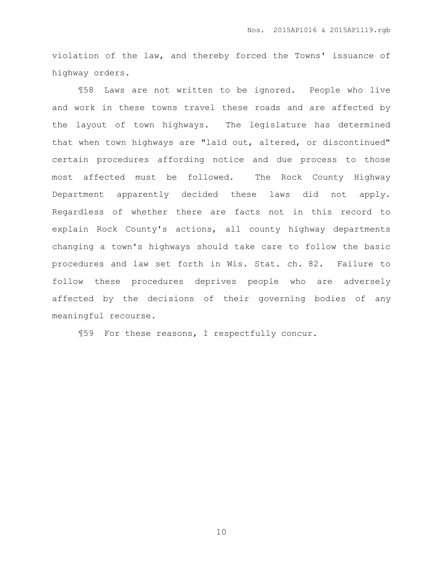violation of the law, and thereby forced the Towns' issuance of highway orders.

¶58 Laws are not written to be ignored. People who live and work in these towns travel these roads and are affected by the layout of town highways. The legislature has determined that when town highways are "laid out, altered, or discontinued" certain procedures affording notice and due process to those most affected must be followed. The Rock County Highway Department apparently decided these laws did not apply. Regardless of whether there are facts not in this record to explain Rock County's actions, all county highway departments changing a town's highways should take care to follow the basic procedures and law set forth in Wis. Stat. ch. 82. Failure to follow these procedures deprives people who are adversely affected by the decisions of their governing bodies of any meaningful recourse.

¶59 For these reasons, I respectfully concur.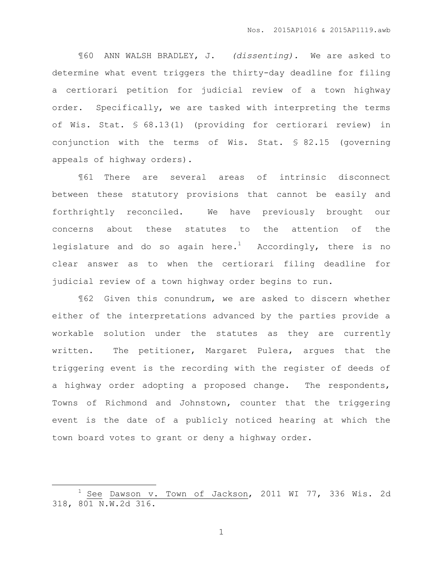¶60 ANN WALSH BRADLEY, J. *(dissenting).* We are asked to determine what event triggers the thirty-day deadline for filing a certiorari petition for judicial review of a town highway order. Specifically, we are tasked with interpreting the terms of Wis. Stat. § 68.13(1) (providing for certiorari review) in conjunction with the terms of Wis. Stat. § 82.15 (governing appeals of highway orders).

¶61 There are several areas of intrinsic disconnect between these statutory provisions that cannot be easily and forthrightly reconciled. We have previously brought our concerns about these statutes to the attention of the legislature and do so again here.<sup>1</sup> Accordingly, there is no clear answer as to when the certiorari filing deadline for judicial review of a town highway order begins to run.

¶62 Given this conundrum, we are asked to discern whether either of the interpretations advanced by the parties provide a workable solution under the statutes as they are currently written. The petitioner, Margaret Pulera, argues that the triggering event is the recording with the register of deeds of a highway order adopting a proposed change. The respondents, Towns of Richmond and Johnstown, counter that the triggering event is the date of a publicly noticed hearing at which the town board votes to grant or deny a highway order.

 $\overline{a}$ 

See Dawson v. Town of Jackson, 2011 WI 77, 336 Wis. 2d 318, 801 N.W.2d 316.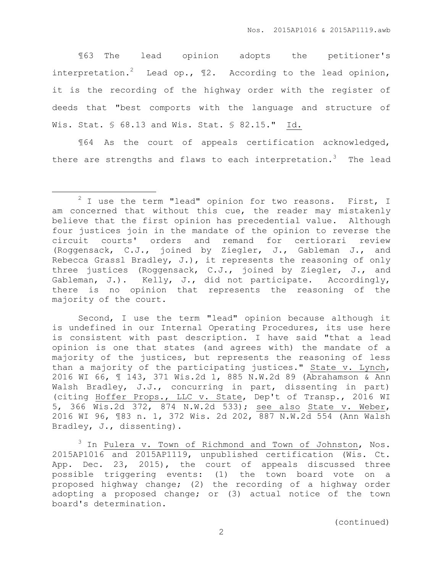¶63 The lead opinion adopts the petitioner's interpretation.<sup>2</sup> Lead op.,  $\mathbb{I}2$ . According to the lead opinion, it is the recording of the highway order with the register of deeds that "best comports with the language and structure of Wis. Stat. § 68.13 and Wis. Stat. § 82.15." Id.

¶64 As the court of appeals certification acknowledged, there are strengths and flaws to each interpretation.<sup>3</sup> The lead

 $\overline{a}$ 

Second, I use the term "lead" opinion because although it is undefined in our Internal Operating Procedures, its use here is consistent with past description. I have said "that a lead opinion is one that states (and agrees with) the mandate of a majority of the justices, but represents the reasoning of less than a majority of the participating justices." State v. Lynch, 2016 WI 66, ¶ 143, 371 Wis.2d 1, 885 N.W.2d 89 (Abrahamson & Ann Walsh Bradley, J.J., concurring in part, dissenting in part) (citing Hoffer Props., LLC v. State, Dep't of Transp., 2016 WI 5, 366 Wis.2d 372, 874 N.W.2d 533); see also State v. Weber, 2016 WI 96, ¶83 n. 1, 372 Wis. 2d 202, 887 N.W.2d 554 (Ann Walsh Bradley, J., dissenting).

 $3$  In Pulera v. Town of Richmond and Town of Johnston, Nos. 2015AP1016 and 2015AP1119, unpublished certification (Wis. Ct. App. Dec. 23, 2015), the court of appeals discussed three possible triggering events: (1) the town board vote on a proposed highway change; (2) the recording of a highway order adopting a proposed change; or (3) actual notice of the town board's determination.

 $2$  I use the term "lead" opinion for two reasons. First, I am concerned that without this cue, the reader may mistakenly believe that the first opinion has precedential value. Although four justices join in the mandate of the opinion to reverse the circuit courts' orders and remand for certiorari review (Roggensack, C.J., joined by Ziegler, J., Gableman J., and Rebecca Grassl Bradley, J.), it represents the reasoning of only three justices (Roggensack, C.J., joined by Ziegler, J., and Gableman, J.). Kelly, J., did not participate. Accordingly, there is no opinion that represents the reasoning of the majority of the court.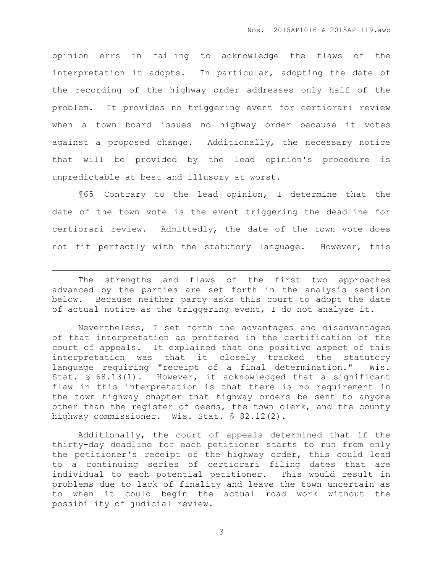opinion errs in failing to acknowledge the flaws of the interpretation it adopts. In particular, adopting the date of the recording of the highway order addresses only half of the problem. It provides no triggering event for certiorari review when a town board issues no highway order because it votes against a proposed change. Additionally, the necessary notice that will be provided by the lead opinion's procedure is unpredictable at best and illusory at worst.

¶65 Contrary to the lead opinion, I determine that the date of the town vote is the event triggering the deadline for certiorari review. Admittedly, the date of the town vote does not fit perfectly with the statutory language. However, this

The strengths and flaws of the first two approaches advanced by the parties are set forth in the analysis section below. Because neither party asks this court to adopt the date of actual notice as the triggering event, I do not analyze it.

 $\overline{a}$ 

Nevertheless, I set forth the advantages and disadvantages of that interpretation as proffered in the certification of the court of appeals. It explained that one positive aspect of this interpretation was that it closely tracked the statutory language requiring "receipt of a final determination." Wis. Stat. § 68.13(1). However, it acknowledged that a significant flaw in this interpretation is that there is no requirement in the town highway chapter that highway orders be sent to anyone other than the register of deeds, the town clerk, and the county highway commissioner. Wis. Stat. § 82.12(2).

Additionally, the court of appeals determined that if the thirty-day deadline for each petitioner starts to run from only the petitioner's receipt of the highway order, this could lead to a continuing series of certiorari filing dates that are individual to each potential petitioner. This would result in problems due to lack of finality and leave the town uncertain as to when it could begin the actual road work without the possibility of judicial review.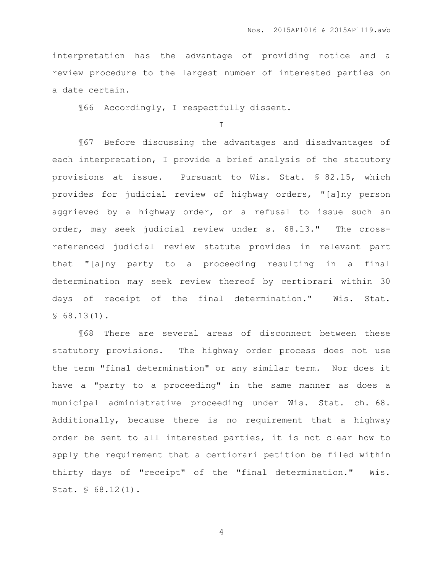interpretation has the advantage of providing notice and a review procedure to the largest number of interested parties on a date certain.

¶66 Accordingly, I respectfully dissent.

I

¶67 Before discussing the advantages and disadvantages of each interpretation, I provide a brief analysis of the statutory provisions at issue. Pursuant to Wis. Stat. § 82.15, which provides for judicial review of highway orders, "[a]ny person aggrieved by a highway order, or a refusal to issue such an order, may seek judicial review under s. 68.13." The crossreferenced judicial review statute provides in relevant part that "[a]ny party to a proceeding resulting in a final determination may seek review thereof by certiorari within 30 days of receipt of the final determination." Wis. Stat. § 68.13(1).

¶68 There are several areas of disconnect between these statutory provisions. The highway order process does not use the term "final determination" or any similar term. Nor does it have a "party to a proceeding" in the same manner as does a municipal administrative proceeding under Wis. Stat. ch. 68. Additionally, because there is no requirement that a highway order be sent to all interested parties, it is not clear how to apply the requirement that a certiorari petition be filed within thirty days of "receipt" of the "final determination." Wis. Stat. § 68.12(1).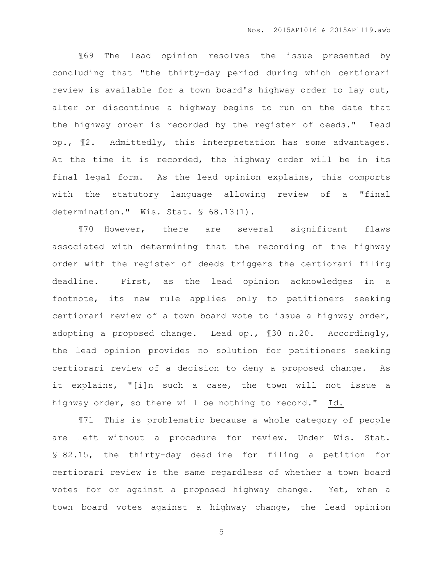¶69 The lead opinion resolves the issue presented by concluding that "the thirty-day period during which certiorari review is available for a town board's highway order to lay out, alter or discontinue a highway begins to run on the date that the highway order is recorded by the register of deeds." Lead op., ¶2. Admittedly, this interpretation has some advantages. At the time it is recorded, the highway order will be in its final legal form. As the lead opinion explains, this comports with the statutory language allowing review of a "final determination." Wis. Stat. § 68.13(1).

¶70 However, there are several significant flaws associated with determining that the recording of the highway order with the register of deeds triggers the certiorari filing deadline. First, as the lead opinion acknowledges in a footnote, its new rule applies only to petitioners seeking certiorari review of a town board vote to issue a highway order, adopting a proposed change. Lead op., ¶30 n.20. Accordingly, the lead opinion provides no solution for petitioners seeking certiorari review of a decision to deny a proposed change. As it explains, "[i]n such a case, the town will not issue a highway order, so there will be nothing to record." Id.

¶71 This is problematic because a whole category of people are left without a procedure for review. Under Wis. Stat. § 82.15, the thirty-day deadline for filing a petition for certiorari review is the same regardless of whether a town board votes for or against a proposed highway change. Yet, when a town board votes against a highway change, the lead opinion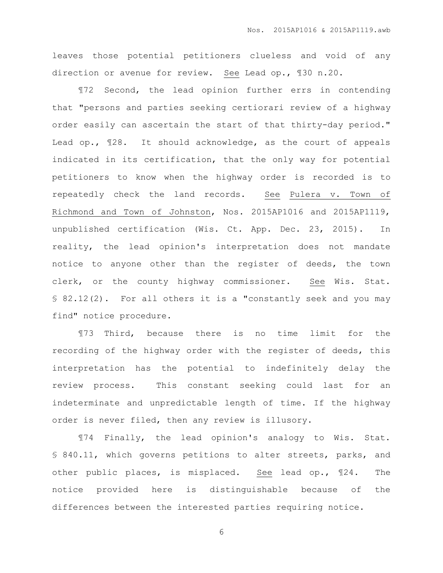leaves those potential petitioners clueless and void of any direction or avenue for review. See Lead op., ¶30 n.20.

¶72 Second, the lead opinion further errs in contending that "persons and parties seeking certiorari review of a highway order easily can ascertain the start of that thirty-day period." Lead op., ¶28. It should acknowledge, as the court of appeals indicated in its certification, that the only way for potential petitioners to know when the highway order is recorded is to repeatedly check the land records. See Pulera v. Town of Richmond and Town of Johnston, Nos. 2015AP1016 and 2015AP1119, unpublished certification (Wis. Ct. App. Dec. 23, 2015). In reality, the lead opinion's interpretation does not mandate notice to anyone other than the register of deeds, the town clerk, or the county highway commissioner. See Wis. Stat. § 82.12(2). For all others it is a "constantly seek and you may find" notice procedure.

¶73 Third, because there is no time limit for the recording of the highway order with the register of deeds, this interpretation has the potential to indefinitely delay the review process. This constant seeking could last for an indeterminate and unpredictable length of time. If the highway order is never filed, then any review is illusory.

¶74 Finally, the lead opinion's analogy to Wis. Stat. § 840.11, which governs petitions to alter streets, parks, and other public places, is misplaced. See lead op., ¶24. The notice provided here is distinguishable because of the differences between the interested parties requiring notice.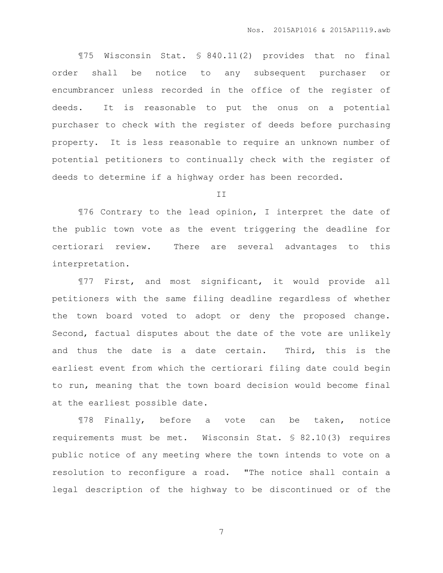¶75 Wisconsin Stat. § 840.11(2) provides that no final order shall be notice to any subsequent purchaser or encumbrancer unless recorded in the office of the register of deeds. It is reasonable to put the onus on a potential purchaser to check with the register of deeds before purchasing property. It is less reasonable to require an unknown number of potential petitioners to continually check with the register of deeds to determine if a highway order has been recorded.

II

¶76 Contrary to the lead opinion, I interpret the date of the public town vote as the event triggering the deadline for certiorari review. There are several advantages to this interpretation.

¶77 First, and most significant, it would provide all petitioners with the same filing deadline regardless of whether the town board voted to adopt or deny the proposed change. Second, factual disputes about the date of the vote are unlikely and thus the date is a date certain. Third, this is the earliest event from which the certiorari filing date could begin to run, meaning that the town board decision would become final at the earliest possible date.

¶78 Finally, before a vote can be taken, notice requirements must be met. Wisconsin Stat. § 82.10(3) requires public notice of any meeting where the town intends to vote on a resolution to reconfigure a road. "The notice shall contain a legal description of the highway to be discontinued or of the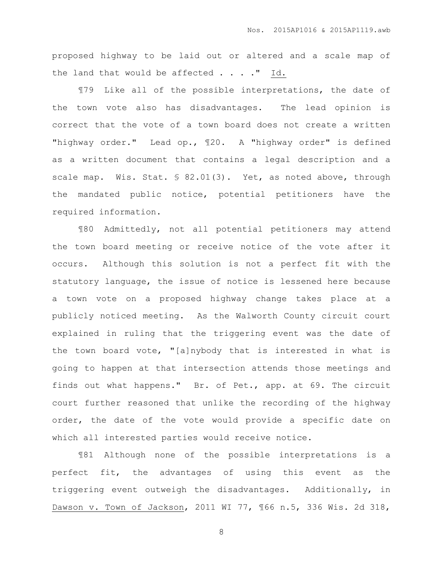proposed highway to be laid out or altered and a scale map of the land that would be affected  $\ldots$  . . " Id.

¶79 Like all of the possible interpretations, the date of the town vote also has disadvantages. The lead opinion is correct that the vote of a town board does not create a written "highway order." Lead op., ¶20. A "highway order" is defined as a written document that contains a legal description and a scale map. Wis. Stat. § 82.01(3). Yet, as noted above, through the mandated public notice, potential petitioners have the required information.

¶80 Admittedly, not all potential petitioners may attend the town board meeting or receive notice of the vote after it occurs. Although this solution is not a perfect fit with the statutory language, the issue of notice is lessened here because a town vote on a proposed highway change takes place at a publicly noticed meeting. As the Walworth County circuit court explained in ruling that the triggering event was the date of the town board vote, "[a]nybody that is interested in what is going to happen at that intersection attends those meetings and finds out what happens." Br. of Pet., app. at 69. The circuit court further reasoned that unlike the recording of the highway order, the date of the vote would provide a specific date on which all interested parties would receive notice.

¶81 Although none of the possible interpretations is a perfect fit, the advantages of using this event as the triggering event outweigh the disadvantages. Additionally, in Dawson v. Town of Jackson, 2011 WI 77, ¶66 n.5, 336 Wis. 2d 318,